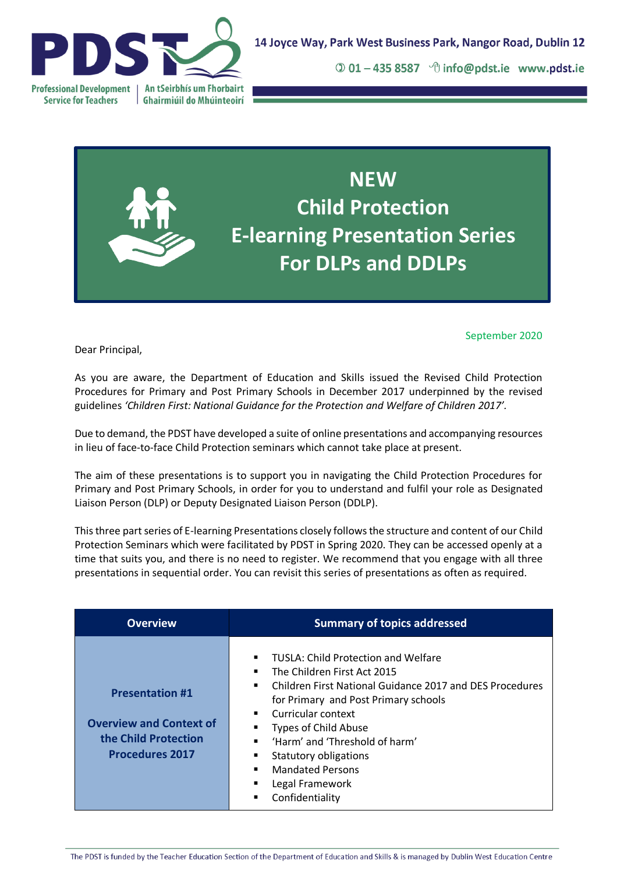

 $\odot$  01 – 435 8587  $\lnot$  info@pdst.ie www.pdst.ie



## September 2020

Dear Principal,

As you are aware, the Department of Education and Skills issued the Revised Child Protection Procedures for Primary and Post Primary Schools in December 2017 underpinned by the revised guidelines *'Children First: National Guidance for the Protection and Welfare of Children 2017'.* 

Due to demand, the PDST have developed a suite of online presentations and accompanying resources in lieu of face-to-face Child Protection seminars which cannot take place at present.

The aim of these presentations is to support you in navigating the Child Protection Procedures for Primary and Post Primary Schools, in order for you to understand and fulfil your role as Designated Liaison Person (DLP) or Deputy Designated Liaison Person (DDLP).

This three part series of E-learning Presentations closely follows the structure and content of our Child Protection Seminars which were facilitated by PDST in Spring 2020. They can be accessed openly at a time that suits you, and there is no need to register. We recommend that you engage with all three presentations in sequential order. You can revisit this series of presentations as often as required.

| <b>Overview</b>                                                                                            | <b>Summary of topics addressed</b>                                                                                                                                                                                                                                                                                                                                                                                                        |
|------------------------------------------------------------------------------------------------------------|-------------------------------------------------------------------------------------------------------------------------------------------------------------------------------------------------------------------------------------------------------------------------------------------------------------------------------------------------------------------------------------------------------------------------------------------|
| <b>Presentation #1</b><br><b>Overview and Context of</b><br>the Child Protection<br><b>Procedures 2017</b> | TUSLA: Child Protection and Welfare<br>٠<br>The Children First Act 2015<br>$\blacksquare$<br>Children First National Guidance 2017 and DES Procedures<br>٠<br>for Primary and Post Primary schools<br>• Curricular context<br>Types of Child Abuse<br>'Harm' and 'Threshold of harm'<br>$\blacksquare$<br>Statutory obligations<br>п<br><b>Mandated Persons</b><br>Legal Framework<br>$\blacksquare$<br>Confidentiality<br>$\blacksquare$ |

The PDST is funded by the Teacher Education Section of the Department of Education and Skills & is managed by Dublin West Education Centre